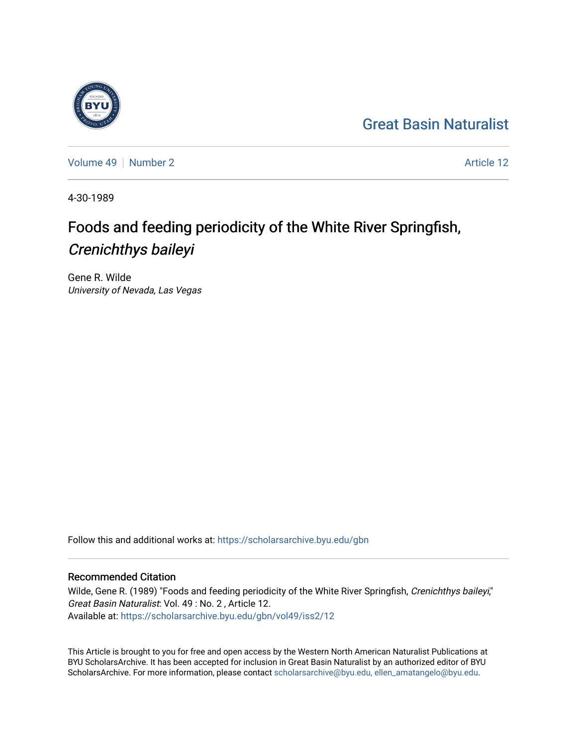## [Great Basin Naturalist](https://scholarsarchive.byu.edu/gbn)



[Volume 49](https://scholarsarchive.byu.edu/gbn/vol49) [Number 2](https://scholarsarchive.byu.edu/gbn/vol49/iss2) Article 12

4-30-1989

# Foods and feeding periodicity of the White River Springfish, Crenichthys baileyi

Gene R. Wilde University of Nevada, Las Vegas

Follow this and additional works at: [https://scholarsarchive.byu.edu/gbn](https://scholarsarchive.byu.edu/gbn?utm_source=scholarsarchive.byu.edu%2Fgbn%2Fvol49%2Fiss2%2F12&utm_medium=PDF&utm_campaign=PDFCoverPages) 

### Recommended Citation

Wilde, Gene R. (1989) "Foods and feeding periodicity of the White River Springfish, Crenichthys baileyi," Great Basin Naturalist: Vol. 49 : No. 2 , Article 12. Available at: [https://scholarsarchive.byu.edu/gbn/vol49/iss2/12](https://scholarsarchive.byu.edu/gbn/vol49/iss2/12?utm_source=scholarsarchive.byu.edu%2Fgbn%2Fvol49%2Fiss2%2F12&utm_medium=PDF&utm_campaign=PDFCoverPages) 

This Article is brought to you for free and open access by the Western North American Naturalist Publications at BYU ScholarsArchive. It has been accepted for inclusion in Great Basin Naturalist by an authorized editor of BYU ScholarsArchive. For more information, please contact [scholarsarchive@byu.edu, ellen\\_amatangelo@byu.edu.](mailto:scholarsarchive@byu.edu,%20ellen_amatangelo@byu.edu)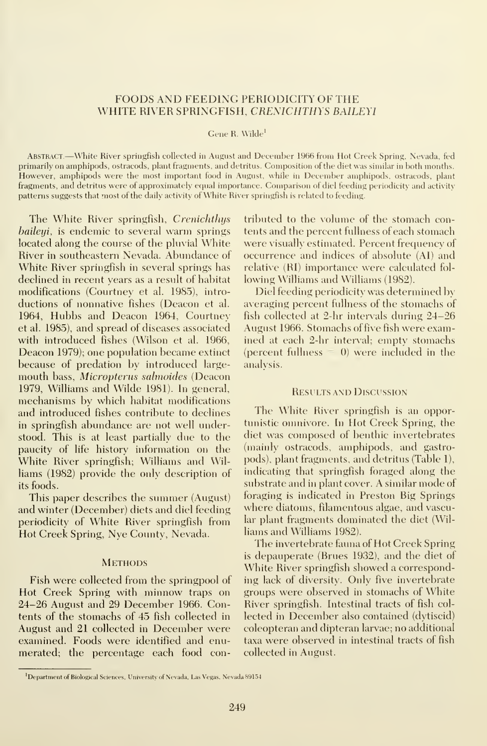#### FOODS AND FEEDING PERIODICITY OF THE WHITE RIVER SPRINGFISH, CRENICHTHYS BAILEYI

Gene R. Wilde<sup>1</sup>

Abstract.—White River springfish collected in August and December <sup>1966</sup> from Hot Creek Spring, Nevada, fed primarily on amphipods, ostracods, plant fragments, and detritus. Composition of the diet was similar in both months. However, amphipods were the most important food in August, while in December amphipods, ostracods, plant fragments, and detritus were of approximately equal importance. Comparison of diel feeding periodicity and activity patterns suggests that most of the daily activity of White River springfish is related to feeding.

The White River springfish, Crenichthys *baileyi*, is endemic to several warm springs located along the course of the pluvial White River in southeastern Nevada. Abundance of White River springfish in several springs has declined in recent years as a result of habitat modifications (Courtney et al. 1985), intro ductions of nonnative fishes (Deacon et al. 1964, Hubbs and Deacon 1964, Courtney et al. 1985), and spread of diseases associated with introduced fishes (Wilson et al. 1966, Deacon 1979); one population became extinct because of predation by introduced largemouth bass, Micropterus salmoides (Deacon 1979, Williams and Wilde 1981). In general, mechanisms by which habitat modifications and introduced fishes contribute to declines in springfish abundance are not well understood. This is at least partially due to the paucity of life history information on the White River springfish; Williams and Williams (1982) provide the only description of its foods.

This paper describes the summer (August) and winter (December) diets and diel feeding periodicity of White River springfish from Hot Creek Spring, Nye County, Nevada.

#### **METHODS**

Fish were collected from the springpool of Hot Creek Spring with minnow traps on 24-26 August and 29 December 1966. Contents of the stomachs of 45 fish collected in August and 21 collected in December were examined. Foods were identified and enumerated; the percentage each food contributed to the volume of the stomach contents and the percent fullness of each stomach were visually estimated. Percent frequency of occurrence and indices of absolute (Al) and relative (RI) importance were calculated fol lowing Williams and Williams (1982).

Diel feeding periodicity was determined by averaging percent fullness of the stomachs of fish collected at 2-hr intervals during 24-26 August 1966. Stomachs of five fish were examined at each 2-hr interval; empty stomachs (percent fullness  $= 0$ ) were included in the analysis.

#### Results and Discussion

The White River springfish is an opportunistic omnivore. In Hot Creek Spring, the diet was composed of benthic invertebrates (mainly ostracods, amphipods, and gastropods), plant fragments, and detritus (Table 1), indicating that springfish foraged along the substrate and in plant cover. A similar mode of foraging is indicated in Preston Big Springs where diatoms, filamentous algae, and vascular plant fragments dominated the diet (Williams and Williams 1982).

The invertebrate fauna of Hot Creek Spring is depauperate (Brues 1932), and the diet of White River springfish showed a corresponding lack of diversity. Only five invertebrate groups were observed in stomachs of White River springfish. Intestinal tracts of fish col lected in December also contained (dytiscid) coleopteran and dipteran larvae; no additional taxa were observed in intestinal tracts of fish collected in August.

<sup>&#</sup>x27;Department of Biological Sciences, University of Nevada, Las Vegas, Nevada 89154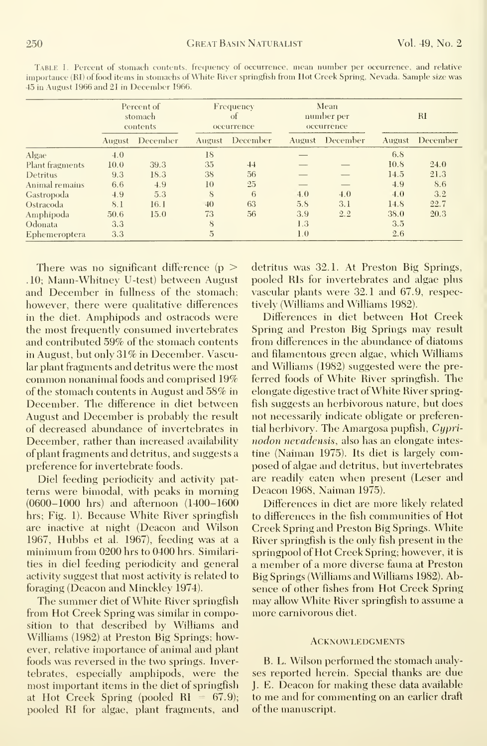|                 | Percent of<br>stomach<br>contents |          | Frequency<br>of<br>occurrence |          | Mean<br>number per<br>occurrence |          | $_{\rm RI}$ |          |
|-----------------|-----------------------------------|----------|-------------------------------|----------|----------------------------------|----------|-------------|----------|
|                 | August                            | December | August                        | December | August                           | December | August      | December |
| Algae           | 4.0                               |          | 18                            |          |                                  |          | 6.8         |          |
| Plant fragments | 10.0                              | 39.3     | 35                            | 44       |                                  |          | 10.8        | 24.0     |
| Detritus        | 9.3                               | 18.3     | 38                            | 56       |                                  |          | 14.5        | 21.3     |
| Animal remains  | 6.6                               | 4.9      | 10                            | 25       |                                  |          | 4.9         | 8.6      |
| Gastropoda      | 4.9                               | 5.3      | 8                             | 6        | 4.0                              | 4.0      | 4.0         | 3.2      |
| Ostracoda       | 8.1                               | 16. I    | 40                            | 63       | 5.8                              | 3.1      | 14.8        | 22.7     |
| Amphipoda       | 50.6                              | 15.0     | 73                            | 56       | 3.9                              | 2.2      | 38.0        | 20.3     |
| Odonata         | 3,3                               |          | 8                             |          | 1.3                              |          | 3.5         |          |
| Ephemeroptera   | 3.3                               |          | 5                             |          | 1.0                              |          | 2.6         |          |

Table 1. Percent of stomach contents, frequency of occurrence, mean number per occurrence, and relative importance (RI) of food items in stomachs of White River springfish from Hot Creek Spring, Nevada. Sample size was 45 in August 1966 and 21 in December 1966.

There was no significant difference ( $p >$ .10; Mann-Whitney U-test) between August and December in fullness of the stomach; however, there were qualitative differences in the diet. Amphipods and ostracods were the most frequently consumed invertebrates and contributed 59% of the stomach contents in August, but only 31% in December. Vascular plant fragments and detritus were the most common nonanimal foods and comprised 19% of the stomach contents in August and 58% in December. The difference in diet between August and December is probably the result of decreased abundance of invertebrates in December, rather than increased availability of plant fragments and detritus, and suggests a preference for invertebrate foods.

Diel feeding periodicity and activity patterns were bimodal, with peaks in morning  $(0600-1000$  hrs) and afternoon  $(1400-1600)$ hrs; Fig. 1). Because White River springfish are inactive at night (Deacon and Wilson 1967, Hubbs et al. 1967), feeding was at a minimum from 0200 hrs to 0400 hrs. Similarities in diel feeding periodicity and general activity suggest that most activity is related to foraging (Deacon and Minckley 1974).

The summer diet of White River springfish from Hot Creek Spring was similar in composition to that described by Williams and Williams (1982) at Preston Big Springs; however, relative importance of animal and plant foods was reversed in the two springs. Invertebrates, especially amphipods, were the most important items in the diet of springfish at Hot Creek Spring (pooled RI =  $67.9$ ); pooled RI for algae, plant fragments, and

detritus was 32.1. At Preston Big Springs, pooled RIs for invertebrates and algae plus vascular plants were 32.1 and 67.9, respectively (Williams and Williams 1982).

Differences in diet between Hot Creek Spring and Preston Big Springs may result from differences in the abundance of diatoms and filamentous green algae, which Williams and Williams (1982) suggested were the preferred foods of White River springfish. The elongate digestive tract of White River springfish suggests an herbivorous nature, but does not necessarily indicate obligate or preferential herbivory. The Amargosa pupfish, Cyprinodon nevadensis, also has an elongate intestine (Naiman 1975). Its diet is largely composed of algae and detritus, but invertebrates are readily eaten when present (Leser and Deacon 1968, Naiman 1975).

Differences in diet are more likely related to differences in the fish communities of Hot Creek Spring and Preston Big Springs. White River springfish is the only fish present in the springpool of Hot Creek Spring; however, it is a member of a more diverse fauna at Preston Big Springs (Williams and Williams 1982). Absence of other fishes from Hot Creek Spring may allow White River springfish to assume a more carnivorous diet.

#### **ACKNOWLEDGMENTS**

B. L. Wilson performed the stomach analyses reported herein. Special thanks are due J. E. Deacon for making these data available to me and for commenting on an earlier draft of the manuscript.